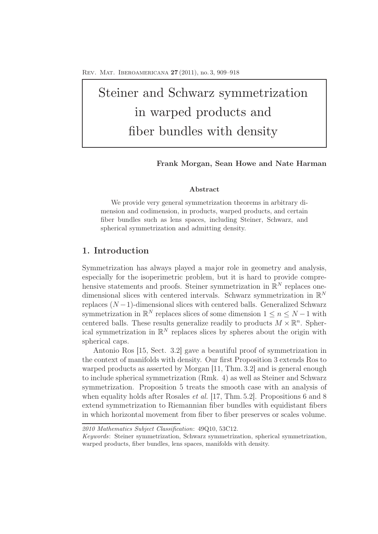# Steiner and Schwarz symmetrization in warped products and fiber bundles with density

Frank Morgan, Sean Howe and Nate Harman

### Abstract

We provide very general symmetrization theorems in arbitrary dimension and codimension, in products, warped products, and certain fiber bundles such as lens spaces, including Steiner, Schwarz, and spherical symmetrization and admitting density.

## 1. Introduction

Symmetrization has always played a major role in geometry and analysis, especially for the isoperimetric problem, but it is hard to provide comprehensive statements and proofs. Steiner symmetrization in  $\mathbb{R}^N$  replaces onedimensional slices with centered intervals. Schwarz symmetrization in  $\mathbb{R}^N$ replaces  $(N-1)$ -dimensional slices with centered balls. Generalized Schwarz symmetrization in  $\mathbb{R}^N$  replaces slices of some dimension  $1 \leq n \leq N-1$  with centered balls. These results generalize readily to products  $M \times \mathbb{R}^n$ . Spherical symmetrization in  $\mathbb{R}^N$  replaces slices by spheres about the origin with spherical caps.

Antonio Ros [15, Sect. 3.2] gave a beautiful proof of symmetrization in the context of manifolds with density. Our first Proposition 3 extends Ros to warped products as asserted by Morgan [11, Thm. 3.2] and is general enough to include spherical symmetrization (Rmk. 4) as well as Steiner and Schwarz symmetrization. Proposition 5 treats the smooth case with an analysis of when equality holds after Rosales *et al.* [17, Thm. 5.2]. Propositions 6 and 8 extend symmetrization to Riemannian fiber bundles with equidistant fibers in which horizontal movement from fiber to fiber preserves or scales volume.

*2010 Mathematics Subject Classification*: 49Q10, 53C12.

*Keywords*: Steiner symmetrization, Schwarz symmetrization, spherical symmetrization, warped products, fiber bundles, lens spaces, manifolds with density.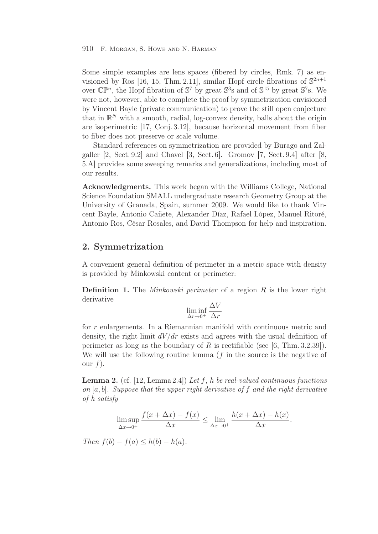#### 910 F. Morgan, S. Howe and N. Harman

Some simple examples are lens spaces (fibered by circles, Rmk. 7) as envisioned by Ros [16, 15, Thm. 2.11], similar Hopf circle fibrations of  $\mathbb{S}^{2n+1}$ over  $\mathbb{CP}^n$ , the Hopf fibration of  $\mathbb{S}^7$  by great  $\mathbb{S}^3$ s and of  $\mathbb{S}^{15}$  by great  $\mathbb{S}^7$ s. We were not, however, able to complete the proof by symmetrization envisioned by Vincent Bayle (private communication) to prove the still open conjecture that in  $\mathbb{R}^N$  with a smooth, radial, log-convex density, balls about the origin are isoperimetric [17, Conj. 3.12], because horizontal movement from fiber to fiber does not preserve or scale volume.

Standard references on symmetrization are provided by Burago and Zalgaller [2, Sect. 9.2] and Chavel [3, Sect. 6]. Gromov [7, Sect. 9.4] after [8, 5.A] provides some sweeping remarks and generalizations, including most of our results.

Acknowledgments. This work began with the Williams College, National Science Foundation SMALL undergraduate research Geometry Group at the University of Granada, Spain, summer 2009. We would like to thank Vincent Bayle, Antonio Cañete, Alexander Díaz, Rafael López, Manuel Ritoré, Antonio Ros, César Rosales, and David Thompson for help and inspiration.

## 2. Symmetrization

A convenient general definition of perimeter in a metric space with density is provided by Minkowski content or perimeter:

Definition 1. The *Minkowski perimeter* of a region R is the lower right derivative

$$
\liminf_{\Delta r \to 0^+} \frac{\Delta V}{\Delta r}
$$

for r enlargements. In a Riemannian manifold with continuous metric and density, the right limit  $dV/dr$  exists and agrees with the usual definition of perimeter as long as the boundary of R is rectifiable (see [6, Thm.  $3.2.39$ ]). We will use the following routine lemma  $(f$  in the source is the negative of our  $f$ ).

Lemma 2. (cf. [12, Lemma 2.4]) *Let* f*,* h *be real-valued continuous functions on* [a, b]*. Suppose that the upper right derivative of* f *and the right derivative of h satisfy*

$$
\limsup_{\Delta x \to 0^+} \frac{f(x + \Delta x) - f(x)}{\Delta x} \le \lim_{\Delta x \to 0^+} \frac{h(x + \Delta x) - h(x)}{\Delta x}.
$$

*Then*  $f(b) - f(a) \leq h(b) - h(a)$ *.*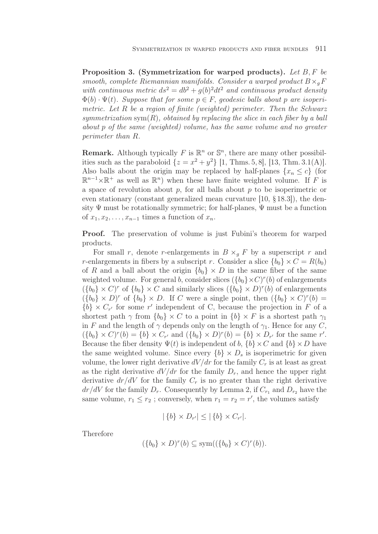Proposition 3. (Symmetrization for warped products). *Let* B,F *be smooth, complete Riemannian manifolds. Consider a warped product*  $B \times_{a} F$ *with continuous metric*  $ds^2 = db^2 + q(b)^2 dt^2$  *and continuous product density*  $\Phi(b) \cdot \Psi(t)$ . Suppose that for some  $p \in F$ , geodesic balls about p are isoperi*metric. Let* R *be a region of finite (weighted) perimeter. Then the Schwarz*  $symmetrization \text{ sym}(R)$ , obtained by replacing the slice in each fiber by a ball *about* p *of the same (weighted) volume, has the same volume and no greater perimeter than* R*.*

**Remark.** Although typically F is  $\mathbb{R}^n$  or  $\mathbb{S}^n$ , there are many other possibilities such as the paraboloid  $\{z = x^2 + y^2\}$  [1, Thms. 5, 8], [13, Thm. 3.1(A)]. Also balls about the origin may be replaced by half-planes  $\{x_n \leq c\}$  (for  $\mathbb{R}^{n-1}\times\mathbb{R}^+$  as well as  $\mathbb{R}^n$ ) when these have finite weighted volume. If F is a space of revolution about  $p$ , for all balls about  $p$  to be isoperimetric or even stationary (constant generalized mean curvature [10, § 18.3]), the density  $\Psi$  must be rotationally symmetric; for half-planes,  $\Psi$  must be a function of  $x_1, x_2, \ldots, x_{n-1}$  times a function of  $x_n$ .

Proof. The preservation of volume is just Fubini's theorem for warped products.

For small r, denote r-enlargements in  $B \times_q F$  by a superscript r and r-enlargements in fibers by a subscript r. Consider a slice  ${b_0} \times C = R(b_0)$ of R and a ball about the origin  ${b_0} \times D$  in the same fiber of the same weighted volume. For general b, consider slices  $({b_0} \times C)^r(b)$  of enlargements  $({b_0} \times C)^r$  of  ${b_0} \times C$  and similarly slices  $({b_0} \times D)^r$  (b) of enlargements  $({b_0} \times D)^r$  of  ${b_0} \times D$ . If C were a single point, then  $({b_0} \times C)^r(b)$  =  ${b} \times C_{r'}$  for some r' independent of C, because the projection in F of a shortest path  $\gamma$  from  $\{b_0\} \times C$  to a point in  $\{b\} \times F$  is a shortest path  $\gamma_1$ in F and the length of  $\gamma$  depends only on the length of  $\gamma_1$ . Hence for any C,  $(\{b_0\} \times C)^r(b) = \{b\} \times C_{r'}$  and  $(\{b_0\} \times D)^r(b) = \{b\} \times D_{r'}$  for the same r'. Because the fiber density  $\Psi(t)$  is independent of b,  $\{b\} \times C$  and  $\{b\} \times D$  have the same weighted volume. Since every  $\{b\} \times D_s$  is isoperimetric for given volume, the lower right derivative  $dV/dr$  for the family  $C_r$  is at least as great as the right derivative  $dV/dr$  for the family  $D_r$ , and hence the upper right derivative  $dr/dV$  for the family  $C_r$  is no greater than the right derivative  $dr/dV$  for the family  $D_r$ . Consequently by Lemma 2, if  $C_{r_1}$  and  $D_{r_2}$  have the same volume,  $r_1 \le r_2$ ; conversely, when  $r_1 = r_2 = r'$ , the volumes satisfy

$$
|\{b\}\times D_{r'}|\leq |\{b\}\times C_{r'}|.
$$

Therefore

$$
(\{b_0\} \times D)^r(b) \subseteq \text{sym}((\{b_0\} \times C)^r(b)).
$$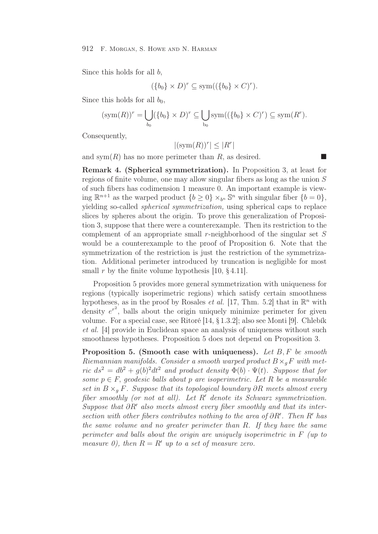#### 912 F. Morgan, S. Howe and N. Harman

Since this holds for all b,

$$
(\{b_0\} \times D)^r \subseteq \text{sym}((\{b_0\} \times C)^r).
$$

Since this holds for all  $b_0$ ,

$$
(\operatorname{sym}(R))^r = \bigcup_{b_0} (\{b_0\} \times D)^r \subseteq \bigcup_{b_0} \operatorname{sym}((\{b_0\} \times C)^r) \subseteq \operatorname{sym}(R^r).
$$

Consequently,

$$
|(\operatorname{sym}(R))^r| \le |R^r|
$$

and sym $(R)$  has no more perimeter than R, as desired.

Remark 4. (Spherical symmetrization). In Proposition 3, at least for regions of finite volume, one may allow singular fibers as long as the union S of such fibers has codimension 1 measure 0. An important example is viewing  $\mathbb{R}^{n+1}$  as the warped product  $\{b > 0\} \times_{b^n} \mathbb{S}^n$  with singular fiber  $\{b = 0\}$ , yielding so-called *spherical symmetrization,* using spherical caps to replace slices by spheres about the origin. To prove this generalization of Proposition 3, suppose that there were a counterexample. Then its restriction to the complement of an appropriate small r-neighborhood of the singular set S would be a counterexample to the proof of Proposition 6. Note that the symmetrization of the restriction is just the restriction of the symmetrization. Additional perimeter introduced by truncation is negligible for most small r by the finite volume hypothesis  $[10, §4.11]$ .

Proposition 5 provides more general symmetrization with uniqueness for regions (typically isoperimetric regions) which satisfy certain smoothness hypotheses, as in the proof by Rosales *et al.* [17, Thm. 5.2] that in  $\mathbb{R}^n$  with density  $e^{r^2}$ , balls about the origin uniquely minimize perimeter for given volume. For a special case, see Ritoré [14, § 1.3.2]; also see Monti [9]. Chlebík *et al.* [4] provide in Euclidean space an analysis of uniqueness without such smoothness hypotheses. Proposition 5 does not depend on Proposition 3.

Proposition 5. (Smooth case with uniqueness). *Let* B,F *be smooth Riemannian manifolds. Consider a smooth warped product*  $B \times_{g} F$  *with metric*  $ds^2 = db^2 + g(b)^2 dt^2$  *and product density*  $\Phi(b) \cdot \Psi(t)$ *. Suppose that for some*  $p \in F$ , *geodesic balls about* p *are isoperimetric. Let* R *be a measurable set in* <sup>B</sup> <sup>×</sup>g <sup>F</sup>*. Suppose that its topological boundary* ∂R *meets almost every fiber smoothly (or not at all). Let* R' *denote its Schwarz symmetrization.* Suppose that  $\partial R'$  also meets almost every fiber smoothly and that its inter*section with other fibers contributes nothing to the area of* ∂R'. Then R' has *the same volume and no greater perimeter than* R*. If they have the same perimeter and balls about the origin are uniquely isoperimetric in* F *(up to measure 0), then*  $R = R'$  *up to a set of measure zero.*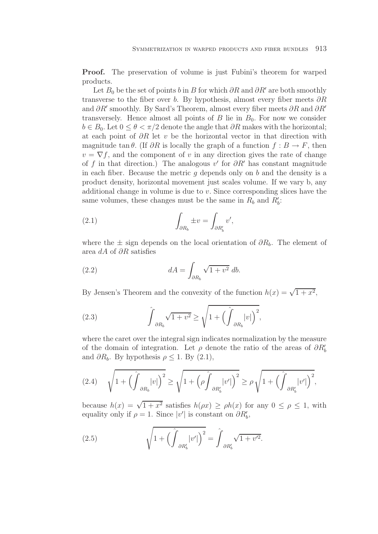**Proof.** The preservation of volume is just Fubini's theorem for warped products.

Let  $B_0$  be the set of points b in B for which ∂R and ∂R' are both smoothly transverse to the fiber over b. By hypothesis, almost every fiber meets  $\partial R$ and  $\partial R'$  smoothly. By Sard's Theorem, almost every fiber meets  $\partial R$  and  $\partial R'$ transversely. Hence almost all points of  $B$  lie in  $B_0$ . For now we consider  $b \in B_0$ . Let  $0 \leq \theta < \pi/2$  denote the angle that  $\partial R$  makes with the horizontal; at each point of  $\partial R$  let v be the horizontal vector in that direction with magnitude tan  $\theta$ . (If  $\partial R$  is locally the graph of a function  $f : B \to F$ , then  $v = \nabla f$ , and the component of v in any direction gives the rate of change of f in that direction.) The analogous v' for  $\partial R'$  has constant magnitude in each fiber. Because the metric  $g$  depends only on  $b$  and the density is a product density, horizontal movement just scales volume. If we vary b, any additional change in volume is due to v. Since corresponding slices have the same volumes, these changes must be the same in  $R_b$  and  $R'_b$ :

(2.1) 
$$
\int_{\partial R_b} \pm v = \int_{\partial R'_b} v',
$$

where the  $\pm$  sign depends on the local orientation of  $\partial R_b$ . The element of area dA of ∂R satisfies

(2.2) 
$$
dA = \int_{\partial R_b} \sqrt{1 + v^2} \, db.
$$

By Jensen's Theorem and the convexity of the function  $h(x) = \sqrt{1 + x^2}$ ,

(2.3) 
$$
\hat{\int}_{\partial R_b} \sqrt{1+v^2} \ge \sqrt{1+\left(\hat{\int}_{\partial R_b}|v|\right)^2},
$$

where the caret over the integral sign indicates normalization by the measure of the domain of integration. Let  $\rho$  denote the ratio of the areas of  $\partial R'_{b}$ and  $\partial R_b$ . By hypothesis  $\rho \leq 1$ . By  $(2.1)$ ,

$$
(2.4) \qquad \sqrt{1+\left(\int_{\partial R_b}|v|\right)^2} \ge \sqrt{1+\left(\rho\int_{\partial R'_b}|v'|\right)^2} \ge \rho\sqrt{1+\left(\int_{\partial R'_b}|v'|\right)^2},
$$

because  $h(x) = \sqrt{1 + x^2}$  satisfies  $h(\rho x) \geq \rho h(x)$  for any  $0 \leq \rho \leq 1$ , with equality only if  $\rho = 1$ . Since  $|v'|$  is constant on  $\partial R'_b$ ,

(2.5) 
$$
\sqrt{1 + \left(\int_{\partial R'_b} |v'|\right)^2} = \int_{\partial R'_b} \sqrt{1 + v'^2}.
$$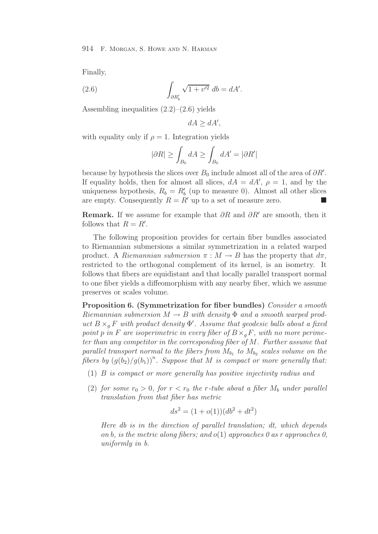Finally,

(2.6) 
$$
\int_{\partial R'_b} \sqrt{1 + v'^2} \, db = dA'.
$$

Assembling inequalities  $(2.2)$ – $(2.6)$  yields

$$
dA \ge dA',
$$

with equality only if  $\rho = 1$ . Integration yields

$$
|\partial R| \ge \int_{B_0} dA \ge \int_{B_0} dA' = |\partial R'|
$$

because by hypothesis the slices over  $B_0$  include almost all of the area of  $\partial R'$ . If equality holds, then for almost all slices,  $dA = dA'$ ,  $\rho = 1$ , and by the uniqueness hypothesis,  $R_b = R'_b$  (up to measure 0). Almost all other slices are empty. Consequently  $B = R'$  up to a set of measure zero are empty. Consequently  $R = R'$  up to a set of measure zero.

**Remark.** If we assume for example that  $\partial R$  and  $\partial R'$  are smooth, then it follows that  $R = R'$ .

The following proposition provides for certain fiber bundles associated to Riemannian submersions a similar symmetrization in a related warped product. A *Riemannian submersion*  $\pi : M \to B$  has the property that  $d\pi$ , restricted to the orthogonal complement of its kernel, is an isometry. It follows that fibers are equidistant and that locally parallel transport normal to one fiber yields a diffeomorphism with any nearby fiber, which we assume preserves or scales volume.

Proposition 6. (Symmetrization for fiber bundles) *Consider a smooth Riemannian submersion*  $M \to B$  *with density*  $\Phi$  *and a smooth warped product*  $B \times_{g} F$  *with product density*  $\Phi'$ . Assume that geodesic balls about a fixed noint n in F cm isomerimetric in every fiber of  $B \times F$ , with no many environment *point* p in F are isoperimetric in every fiber of  $B \times_{a} F$ , with no more perime*ter than any competitor in the corresponding fiber of* M*. Further assume that parallel transport normal to the fibers from*  $M_{b_1}$  *to*  $M_{b_2}$  *scales volume on the* fibers by  $(g(b_2)/g(b_1))^n$ . Suppose that M is compact or more generally that:

- (1) B *is compact or more generally has positive injectivity radius and*
- (2) *for some*  $r_0 > 0$ *, for*  $r < r_0$  *the r*-tube about a fiber  $M_b$  *under parallel translation from that fiber has metric*

$$
ds^2 = (1 + o(1))(db^2 + dt^2)
$$

*Here db is in the direction of parallel translation; dt, which depends on* b*, is the metric along fibers; and* o(1) *approaches 0 as r approaches 0, uniformly in b.*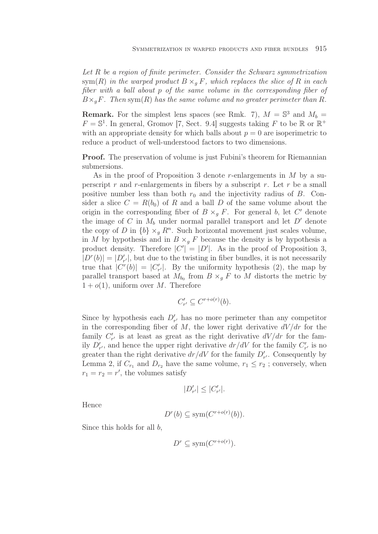*Let* R *be a region of finite perimeter. Consider the Schwarz symmetrization* sym $(R)$  *in the warped product*  $B \times_q F$ *, which replaces the slice of* R *in each fiber with a ball about* p *of the same volume in the corresponding fiber of*  $B\times_q F$ . Then sym $(R)$  has the same volume and no greater perimeter than R.

**Remark.** For the simplest lens spaces (see Rmk. 7),  $M = \mathbb{S}^3$  and  $M_b =$  $F = \mathbb{S}^1$ . In general, Gromov [7, Sect. 9.4] suggests taking F to be R or  $\mathbb{R}^+$ with an appropriate density for which balls about  $p = 0$  are isoperimetric to reduce a product of well-understood factors to two dimensions.

**Proof.** The preservation of volume is just Fubini's theorem for Riemannian submersions.

As in the proof of Proposition 3 denote r-enlargements in  $M$  by a superscript r and r-enlargements in fibers by a subscript r. Let r be a small positive number less than both  $r_0$  and the injectivity radius of B. Consider a slice  $C = R(b_0)$  of R and a ball D of the same volume about the origin in the corresponding fiber of  $B \times_q F$ . For general b, let C' denote the image of C in  $M_b$  under normal parallel transport and let  $D'$  denote the copy of D in  $\{b\} \times_{g} R^{n}$ . Such horizontal movement just scales volume, in M by hypothesis and in  $B \times_q F$  because the density is by hypothesis a product density. Therefore  $|C'| = |D'|$ . As in the proof of Proposition 3,  $|D^r(b)| = |D'_{r'}|$ , but due to the twisting in fiber bundles, it is not necessarily  $|D'(0)| = |D'_{r'}|$ , but due to the twisting in noet bundles, it is not necessarily true that  $|C^{r}(b)| = |C'_{r'}|$ . By the uniformity hypothesis (2), the map by parallel transport based at  $M_{b_0}$  from  $B \times_g F$  to M distorts the metric by  $1 + o(1)$ , uniform over M. Therefore

$$
C'_{r'} \subseteq C^{r+o(r)}(b).
$$

Since by hypothesis each  $D'_{r'}$  has no more perimeter than any competitor in the corresponding fiber of  $M$ , the lower right derivative  $dV/dr$  for the family  $C'_{r'}$  is at least as great as the right derivative  $dV/dr$  for the family  $D'_{r'}$ , and hence the upper right derivative  $dr/dV$  for the family  $C'_{r'}$  is no  $r_r$ , and hence the appel right derivative  $d\tau/dV$  for the family  $D'_{r'}$ . Consequently by Lemma 2, if  $C_{r_1}$  and  $D_{r_2}$  have the same volume,  $r_1 \leq r_2$ ; conversely, when  $r_1 = r_2 = r'$ , the volumes satisfy

$$
|D'_{r'}| \leq |C'_{r'}|.
$$

Hence

$$
D^r(b) \subseteq \text{sym}(C^{r+o(r)}(b)).
$$

Since this holds for all b,

$$
D^r \subseteq \text{sym}(C^{r+o(r)})
$$
.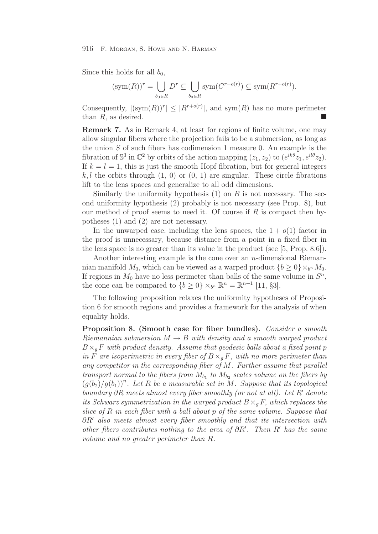#### 916 F. Morgan, S. Howe and N. Harman

Since this holds for all  $b_0$ ,

$$
(\operatorname{sym}(R))^r = \bigcup_{b_0 \in R} D^r \subseteq \bigcup_{b_0 \in R} \operatorname{sym}(C^{r+o(r)}) \subseteq \operatorname{sym}(R^{r+o(r)}).
$$

Consequently,  $|(\text{sym}(R))^{r}| \leq |R^{r+o(r)}|$ , and sym $(R)$  has no more perimeter than  $R$ , as desired.

Remark 7. As in Remark 4, at least for regions of finite volume, one may allow singular fibers where the projection fails to be a submersion, as long as the union  $S$  of such fibers has codimension 1 measure 0. An example is the fibration of  $\mathbb{S}^3$  in  $\mathbb{C}^2$  by orbits of the action mapping  $(z_1, z_2)$  to  $(e^{ik\theta}z_1, e^{il\theta}z_2)$ . If  $k = l = 1$ , this is just the smooth Hopf fibration, but for general integers k, l the orbits through  $(1, 0)$  or  $(0, 1)$  are singular. These circle fibrations lift to the lens spaces and generalize to all odd dimensions.

Similarly the uniformity hypothesis  $(1)$  on B is not necessary. The second uniformity hypothesis (2) probably is not necessary (see Prop. 8), but our method of proof seems to need it. Of course if  $R$  is compact then hypotheses (1) and (2) are not necessary.

In the unwarped case, including the lens spaces, the  $1 + o(1)$  factor in the proof is unnecessary, because distance from a point in a fixed fiber in the lens space is no greater than its value in the product (see [5, Prop. 8.6]).

Another interesting example is the cone over an  $n$ -dimensional Riemannian manifold  $M_0$ , which can be viewed as a warped product  ${b > 0} \times_b n M_0$ . If regions in  $M_0$  have no less perimeter than balls of the same volume in  $S<sup>n</sup>$ , the cone can be compared to  $\{b \geq 0\} \times_{b^n} \mathbb{R}^n = \mathbb{R}^{n+1}$  [11, §3].

The following proposition relaxes the uniformity hypotheses of Proposition 6 for smooth regions and provides a framework for the analysis of when equality holds.

Proposition 8. (Smooth case for fiber bundles). *Consider a smooth Riemannian submersion*  $M \rightarrow B$  *with density and a smooth warped product*  $B\times_q F$  *with product density. Assume that geodesic balls about a fixed point p in* F are isoperimetric in every fiber of  $B \times_q F$ , with no more perimeter than *any competitor in the corresponding fiber of* M*. Further assume that parallel transport normal to the fibers from*  $M_{b_1}$  *to*  $M_{b_2}$  *scales volume on the fibers by*  $(g(b_2)/g(b_1))^n$ . Let R be a measurable set in M. Suppose that its topological *boundary* ∂R meets almost every fiber smoothly (or not at all). Let R' denote *its Schwarz symmetrization in the warped product*  $B \times_q F$ , *which replaces the slice of* R *in each fiber with a ball about* p *of the same volume. Suppose that* ∂R *also meets almost every fiber smoothly and that its intersection with other fibers contributes nothing to the area of*  $\partial R'$ *. Then* R' has the same *volume and no greater perimeter than* R*.*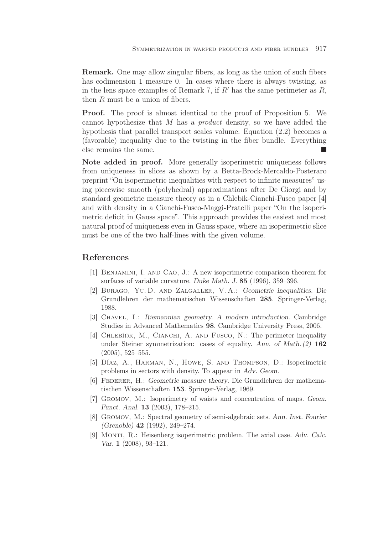Remark. One may allow singular fibers, as long as the union of such fibers has codimension 1 measure 0. In cases where there is always twisting, as in the lens space examples of Remark 7, if  $R'$  has the same perimeter as  $R$ , then R must be a union of fibers.

Proof. The proof is almost identical to the proof of Proposition 5. We cannot hypothesize that M has a *product* density, so we have added the hypothesis that parallel transport scales volume. Equation (2.2) becomes a (favorable) inequality due to the twisting in the fiber bundle. Everything else remains the same.

Note added in proof. More generally isoperimetric uniqueness follows from uniqueness in slices as shown by a Betta-Brock-Mercaldo-Posteraro preprint "On isoperimetric inequalities with respect to infinite measures" using piecewise smooth (polyhedral) approximations after De Giorgi and by standard geometric measure theory as in a Chlebik-Cianchi-Fusco paper [4] and with density in a Cianchi-Fusco-Maggi-Pratelli paper "On the isoperimetric deficit in Gauss space". This approach provides the easiest and most natural proof of uniqueness even in Gauss space, where an isoperimetric slice must be one of the two half-lines with the given volume.

## References

- [1] Benjamini, I. and Cao, J.: A new isoperimetric comparison theorem for surfaces of variable curvature. *Duke Math. J.* 85 (1996), 359–396.
- [2] Burago, Yu. D. and Zalgaller, V. A.: *Geometric inequalities*. Die Grundlehren der mathematischen Wissenschaften 285. Springer-Verlag, 1988.
- [3] Chavel, I.: *Riemannian geometry. A modern introduction*. Cambridge Studies in Advanced Mathematics 98. Cambridge University Press, 2006.
- [4] CHLEBÍDK, M., CIANCHI, A. AND FUSCO, N.: The perimeter inequality under Steiner symmetrization: cases of equality. *Ann. of Math. (2)* 162 (2005), 525–555.
- [5] Díaz, A., Harman, N., Howe, S. and Thompson, D.: Isoperimetric problems in sectors with density. To appear in *Adv. Geom*.
- [6] Federer, H.: *Geometric measure theory*. Die Grundlehren der mathematischen Wissenschaften 153. Springer-Verlag, 1969.
- [7] Gromov, M.: Isoperimetry of waists and concentration of maps. *Geom. Funct. Anal.* 13 (2003), 178–215.
- [8] Gromov, M.: Spectral geometry of semi-algebraic sets. *Ann. Inst. Fourier (Grenoble)* 42 (1992), 249–274.
- [9] Monti, R.: Heisenberg isoperimetric problem. The axial case. *Adv. Calc. Var.* 1 (2008), 93–121.